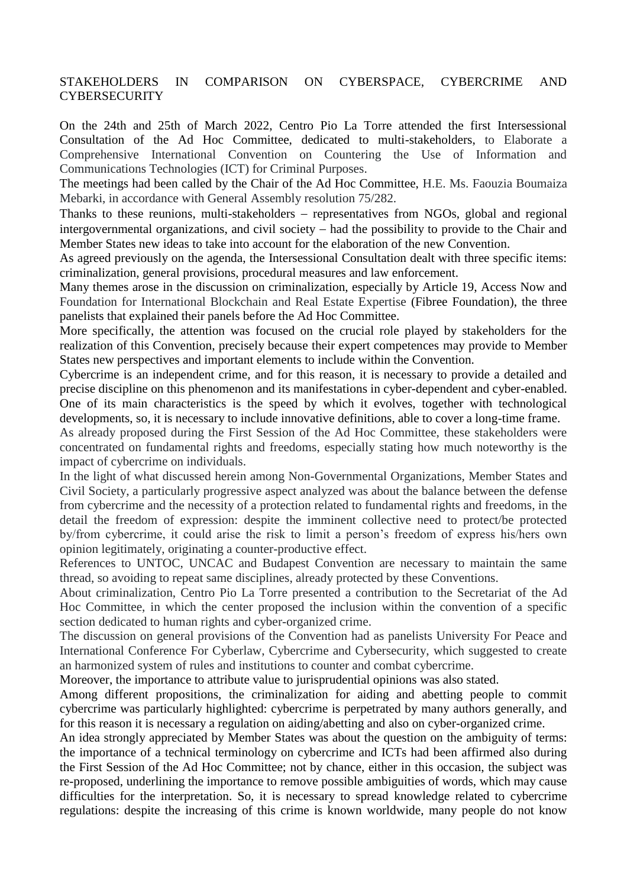## STAKEHOLDERS IN COMPARISON ON CYBERSPACE, CYBERCRIME AND **CYBERSECURITY**

On the 24th and 25th of March 2022, Centro Pio La Torre attended the first Intersessional Consultation of the Ad Hoc Committee, dedicated to multi-stakeholders, to Elaborate a Comprehensive International Convention on Countering the Use of Information and Communications Technologies (ICT) for Criminal Purposes.

The meetings had been called by the Chair of the Ad Hoc Committee, H.E. Ms. Faouzia Boumaiza Mebarki, in accordance with General Assembly resolution 75/282.

Thanks to these reunions, multi-stakeholders – representatives from NGOs, global and regional intergovernmental organizations, and civil society had the possibility to provide to the Chair and Member States new ideas to take into account for the elaboration of the new Convention.

As agreed previously on the agenda, the Intersessional Consultation dealt with three specific items: criminalization, general provisions, procedural measures and law enforcement.

Many themes arose in the discussion on criminalization, especially by Article 19, Access Now and Foundation for International Blockchain and Real Estate Expertise (Fibree Foundation), the three panelists that explained their panels before the Ad Hoc Committee.

More specifically, the attention was focused on the crucial role played by stakeholders for the realization of this Convention, precisely because their expert competences may provide to Member States new perspectives and important elements to include within the Convention.

Cybercrime is an independent crime, and for this reason, it is necessary to provide a detailed and precise discipline on this phenomenon and its manifestations in cyber-dependent and cyber-enabled. One of its main characteristics is the speed by which it evolves, together with technological developments, so, it is necessary to include innovative definitions, able to cover a long-time frame.

As already proposed during the First Session of the Ad Hoc Committee, these stakeholders were concentrated on fundamental rights and freedoms, especially stating how much noteworthy is the impact of cybercrime on individuals.

In the light of what discussed herein among Non-Governmental Organizations, Member States and Civil Society, a particularly progressive aspect analyzed was about the balance between the defense from cybercrime and the necessity of a protection related to fundamental rights and freedoms, in the detail the freedom of expression: despite the imminent collective need to protect/be protected by/from cybercrime, it could arise the risk to limit a person's freedom of express his/hers own opinion legitimately, originating a counter-productive effect.

References to UNTOC, UNCAC and Budapest Convention are necessary to maintain the same thread, so avoiding to repeat same disciplines, already protected by these Conventions.

About criminalization, Centro Pio La Torre presented a contribution to the Secretariat of the Ad Hoc Committee, in which the center proposed the inclusion within the convention of a specific section dedicated to human rights and cyber-organized crime.

The discussion on general provisions of the Convention had as panelists University For Peace and International Conference For Cyberlaw, Cybercrime and Cybersecurity, which suggested to create an harmonized system of rules and institutions to counter and combat cybercrime.

Moreover, the importance to attribute value to jurisprudential opinions was also stated.

Among different propositions, the criminalization for aiding and abetting people to commit cybercrime was particularly highlighted: cybercrime is perpetrated by many authors generally, and for this reason it is necessary a regulation on aiding/abetting and also on cyber-organized crime.

An idea strongly appreciated by Member States was about the question on the ambiguity of terms: the importance of a technical terminology on cybercrime and ICTs had been affirmed also during the First Session of the Ad Hoc Committee; not by chance, either in this occasion, the subject was re-proposed, underlining the importance to remove possible ambiguities of words, which may cause difficulties for the interpretation. So, it is necessary to spread knowledge related to cybercrime regulations: despite the increasing of this crime is known worldwide, many people do not know